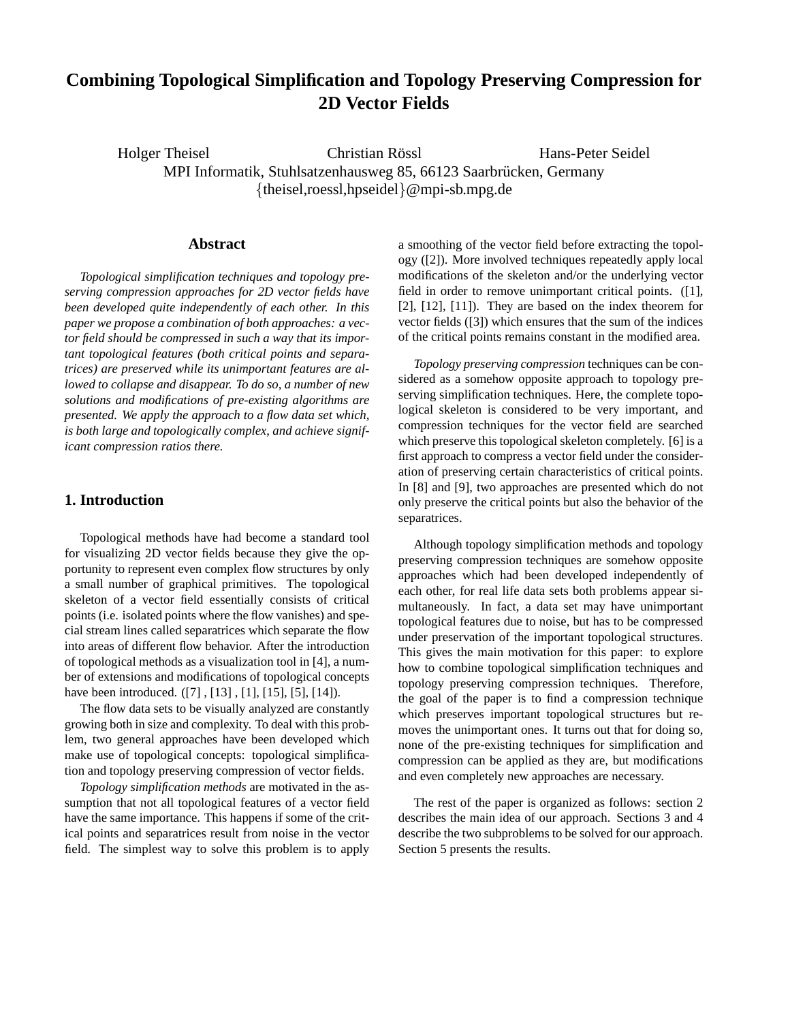# **Combining Topological Simplification and Topology Preserving Compression for 2D Vector Fields**

Holger Theisel Christian Rössl Fans-Peter Seidel MPI Informatik, Stuhlsatzenhausweg 85, 66123 Saarbrücken, Germany {theisel,roessl,hpseidel}@mpi-sb.mpg.de

## **Abstract**

*Topological simplification techniques and topology preserving compression approaches for 2D vector fields have been developed quite independently of each other. In this paper we propose a combination of both approaches: a vector field should be compressed in such a way that its important topological features (both critical points and separatrices) are preserved while its unimportant features are allowed to collapse and disappear. To do so, a number of new solutions and modifications of pre-existing algorithms are presented. We apply the approach to a flow data set which, is both large and topologically complex, and achieve significant compression ratios there.*

## **1. Introduction**

Topological methods have had become a standard tool for visualizing 2D vector fields because they give the opportunity to represent even complex flow structures by only a small number of graphical primitives. The topological skeleton of a vector field essentially consists of critical points (i.e. isolated points where the flow vanishes) and special stream lines called separatrices which separate the flow into areas of different flow behavior. After the introduction of topological methods as a visualization tool in [4], a number of extensions and modifications of topological concepts have been introduced. ([7], [13], [1], [15], [5], [14]).

The flow data sets to be visually analyzed are constantly growing both in size and complexity. To deal with this problem, two general approaches have been developed which make use of topological concepts: topological simplification and topology preserving compression of vector fields.

*Topology simplification methods* are motivated in the assumption that not all topological features of a vector field have the same importance. This happens if some of the critical points and separatrices result from noise in the vector field. The simplest way to solve this problem is to apply

a smoothing of the vector field before extracting the topology ([2]). More involved techniques repeatedly apply local modifications of the skeleton and/or the underlying vector field in order to remove unimportant critical points. ([1], [2], [12], [11]). They are based on the index theorem for vector fields ([3]) which ensures that the sum of the indices of the critical points remains constant in the modified area.

*Topology preserving compression* techniques can be considered as a somehow opposite approach to topology preserving simplification techniques. Here, the complete topological skeleton is considered to be very important, and compression techniques for the vector field are searched which preserve this topological skeleton completely. [6] is a first approach to compress a vector field under the consideration of preserving certain characteristics of critical points. In [8] and [9], two approaches are presented which do not only preserve the critical points but also the behavior of the separatrices.

Although topology simplification methods and topology preserving compression techniques are somehow opposite approaches which had been developed independently of each other, for real life data sets both problems appear simultaneously. In fact, a data set may have unimportant topological features due to noise, but has to be compressed under preservation of the important topological structures. This gives the main motivation for this paper: to explore how to combine topological simplification techniques and topology preserving compression techniques. Therefore, the goal of the paper is to find a compression technique which preserves important topological structures but removes the unimportant ones. It turns out that for doing so, none of the pre-existing techniques for simplification and compression can be applied as they are, but modifications and even completely new approaches are necessary.

The rest of the paper is organized as follows: section 2 describes the main idea of our approach. Sections 3 and 4 describe the two subproblems to be solved for our approach. Section 5 presents the results.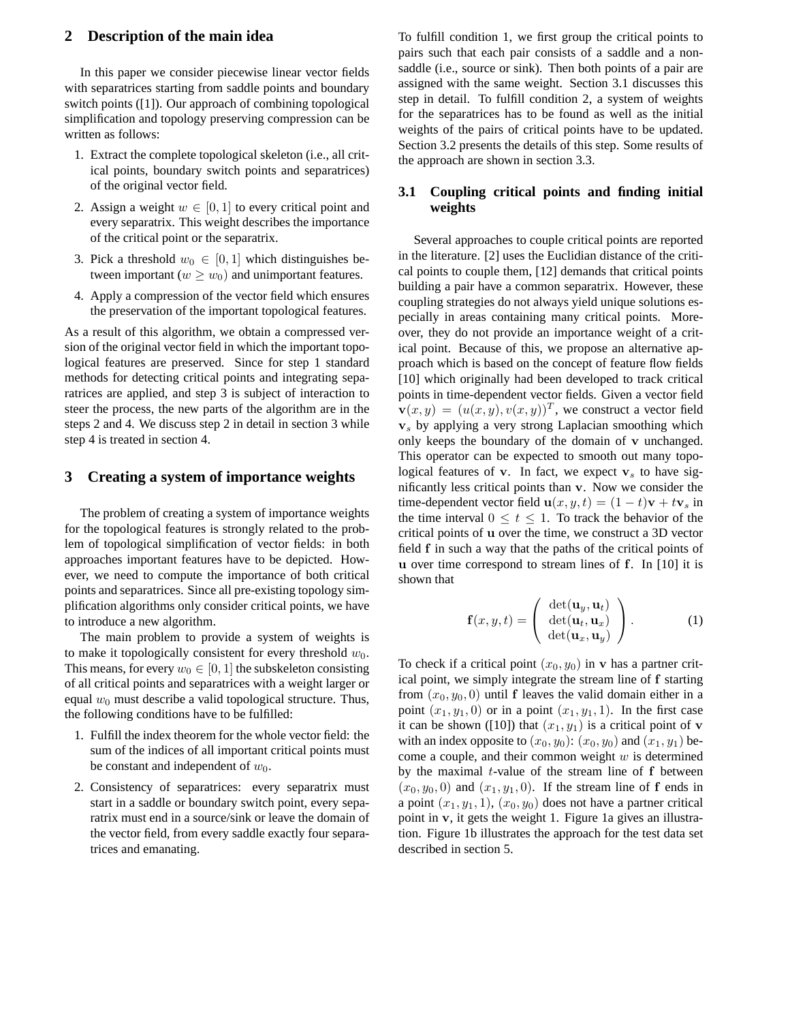### **2 Description of the main idea**

In this paper we consider piecewise linear vector fields with separatrices starting from saddle points and boundary switch points ([1]). Our approach of combining topological simplification and topology preserving compression can be written as follows:

- 1. Extract the complete topological skeleton (i.e., all critical points, boundary switch points and separatrices) of the original vector field.
- 2. Assign a weight  $w \in [0, 1]$  to every critical point and every separatrix. This weight describes the importance of the critical point or the separatrix.
- 3. Pick a threshold  $w_0 \in [0, 1]$  which distinguishes between important ( $w \geq w_0$ ) and unimportant features.
- 4. Apply a compression of the vector field which ensures the preservation of the important topological features.

As a result of this algorithm, we obtain a compressed version of the original vector field in which the important topological features are preserved. Since for step 1 standard methods for detecting critical points and integrating separatrices are applied, and step 3 is subject of interaction to steer the process, the new parts of the algorithm are in the steps 2 and 4. We discuss step 2 in detail in section 3 while step 4 is treated in section 4.

#### **3 Creating a system of importance weights**

The problem of creating a system of importance weights for the topological features is strongly related to the problem of topological simplification of vector fields: in both approaches important features have to be depicted. However, we need to compute the importance of both critical points and separatrices. Since all pre-existing topology simplification algorithms only consider critical points, we have to introduce a new algorithm.

The main problem to provide a system of weights is to make it topologically consistent for every threshold *w*0. This means, for every  $w_0 \in [0, 1]$  the subskeleton consisting of all critical points and separatrices with a weight larger or equal  $w_0$  must describe a valid topological structure. Thus, the following conditions have to be fulfilled:

- 1. Fulfill the index theorem for the whole vector field: the sum of the indices of all important critical points must be constant and independent of  $w_0$ .
- 2. Consistency of separatrices: every separatrix must start in a saddle or boundary switch point, every separatrix must end in a source/sink or leave the domain of the vector field, from every saddle exactly four separatrices and emanating.

To fulfill condition 1, we first group the critical points to pairs such that each pair consists of a saddle and a nonsaddle (i.e., source or sink). Then both points of a pair are assigned with the same weight. Section 3.1 discusses this step in detail. To fulfill condition 2, a system of weights for the separatrices has to be found as well as the initial weights of the pairs of critical points have to be updated. Section 3.2 presents the details of this step. Some results of the approach are shown in section 3.3.

## **3.1 Coupling critical points and finding initial weights**

Several approaches to couple critical points are reported in the literature. [2] uses the Euclidian distance of the critical points to couple them, [12] demands that critical points building a pair have a common separatrix. However, these coupling strategies do not always yield unique solutions especially in areas containing many critical points. Moreover, they do not provide an importance weight of a critical point. Because of this, we propose an alternative approach which is based on the concept of feature flow fields [10] which originally had been developed to track critical points in time-dependent vector fields. Given a vector field  $\mathbf{v}(x, y) = (u(x, y), v(x, y))^T$ , we construct a vector field **v***<sup>s</sup>* by applying a very strong Laplacian smoothing which only keeps the boundary of the domain of **v** unchanged. This operator can be expected to smooth out many topological features of **v**. In fact, we expect **v***<sup>s</sup>* to have significantly less critical points than **v**. Now we consider the time-dependent vector field **u** $(x, y, t) = (1 - t)\mathbf{v} + t\mathbf{v}_s$  in the time interval  $0 \le t \le 1$ . To track the behavior of the critical points of **u** over the time, we construct a 3D vector field **f** in such a way that the paths of the critical points of **u** over time correspond to stream lines of **f**. In [10] it is shown that

$$
\mathbf{f}(x, y, t) = \begin{pmatrix} \det(\mathbf{u}_y, \mathbf{u}_t) \\ \det(\mathbf{u}_t, \mathbf{u}_x) \\ \det(\mathbf{u}_x, \mathbf{u}_y) \end{pmatrix} .
$$
 (1)

To check if a critical point  $(x_0, y_0)$  in **v** has a partner critical point, we simply integrate the stream line of **f** starting from  $(x_0, y_0, 0)$  until **f** leaves the valid domain either in a point  $(x_1, y_1, 0)$  or in a point  $(x_1, y_1, 1)$ . In the first case it can be shown ([10]) that  $(x_1, y_1)$  is a critical point of **v** with an index opposite to  $(x_0, y_0)$ :  $(x_0, y_0)$  and  $(x_1, y_1)$  become a couple, and their common weight *w* is determined by the maximal *t*-value of the stream line of **f** between  $(x_0, y_0, 0)$  and  $(x_1, y_1, 0)$ . If the stream line of **f** ends in a point  $(x_1, y_1, 1)$ ,  $(x_0, y_0)$  does not have a partner critical point in **v**, it gets the weight 1. Figure 1a gives an illustration. Figure 1b illustrates the approach for the test data set described in section 5.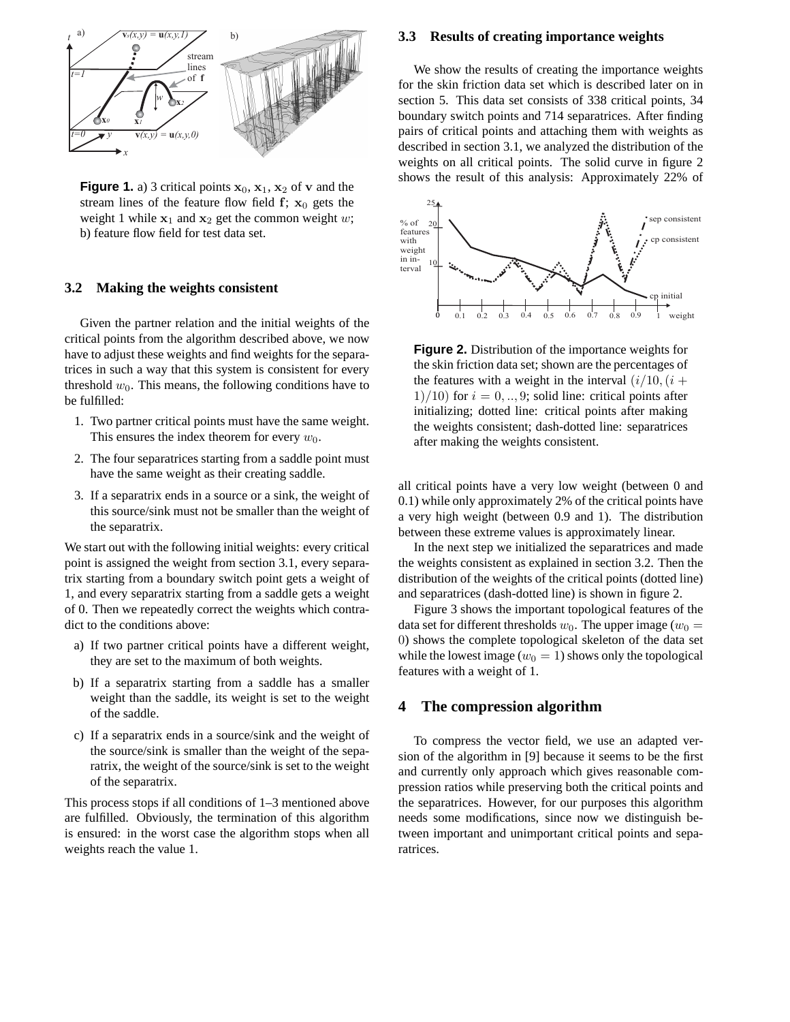

**Figure 1.** a) 3 critical points  $x_0$ ,  $x_1$ ,  $x_2$  of **v** and the stream lines of the feature flow field  $f$ ;  $x_0$  gets the weight 1 while  $x_1$  and  $x_2$  get the common weight *w*; b) feature flow field for test data set.

#### **3.2 Making the weights consistent**

Given the partner relation and the initial weights of the critical points from the algorithm described above, we now have to adjust these weights and find weights for the separatrices in such a way that this system is consistent for every threshold  $w_0$ . This means, the following conditions have to be fulfilled:

- 1. Two partner critical points must have the same weight. This ensures the index theorem for every  $w_0$ .
- 2. The four separatrices starting from a saddle point must have the same weight as their creating saddle.
- 3. If a separatrix ends in a source or a sink, the weight of this source/sink must not be smaller than the weight of the separatrix.

We start out with the following initial weights: every critical point is assigned the weight from section 3.1, every separatrix starting from a boundary switch point gets a weight of 1, and every separatrix starting from a saddle gets a weight of 0. Then we repeatedly correct the weights which contradict to the conditions above:

- a) If two partner critical points have a different weight, they are set to the maximum of both weights.
- b) If a separatrix starting from a saddle has a smaller weight than the saddle, its weight is set to the weight of the saddle.
- c) If a separatrix ends in a source/sink and the weight of the source/sink is smaller than the weight of the separatrix, the weight of the source/sink is set to the weight of the separatrix.

This process stops if all conditions of 1–3 mentioned above are fulfilled. Obviously, the termination of this algorithm is ensured: in the worst case the algorithm stops when all weights reach the value 1.

#### **3.3 Results of creating importance weights**

We show the results of creating the importance weights for the skin friction data set which is described later on in section 5. This data set consists of 338 critical points, 34 boundary switch points and 714 separatrices. After finding pairs of critical points and attaching them with weights as described in section 3.1, we analyzed the distribution of the weights on all critical points. The solid curve in figure 2 shows the result of this analysis: Approximately 22% of



**Figure 2.** Distribution of the importance weights for the skin friction data set; shown are the percentages of the features with a weight in the interval  $(i/10, (i +$  $1)/10$  for  $i = 0, \ldots, 9$ ; solid line: critical points after initializing; dotted line: critical points after making the weights consistent; dash-dotted line: separatrices after making the weights consistent.

all critical points have a very low weight (between 0 and 0.1) while only approximately 2% of the critical points have a very high weight (between 0.9 and 1). The distribution between these extreme values is approximately linear.

In the next step we initialized the separatrices and made the weights consistent as explained in section 3.2. Then the distribution of the weights of the critical points (dotted line) and separatrices (dash-dotted line) is shown in figure 2.

Figure 3 shows the important topological features of the data set for different thresholds  $w_0$ . The upper image ( $w_0$  = 0) shows the complete topological skeleton of the data set while the lowest image  $(w_0 = 1)$  shows only the topological features with a weight of 1.

#### **4 The compression algorithm**

To compress the vector field, we use an adapted version of the algorithm in [9] because it seems to be the first and currently only approach which gives reasonable compression ratios while preserving both the critical points and the separatrices. However, for our purposes this algorithm needs some modifications, since now we distinguish between important and unimportant critical points and separatrices.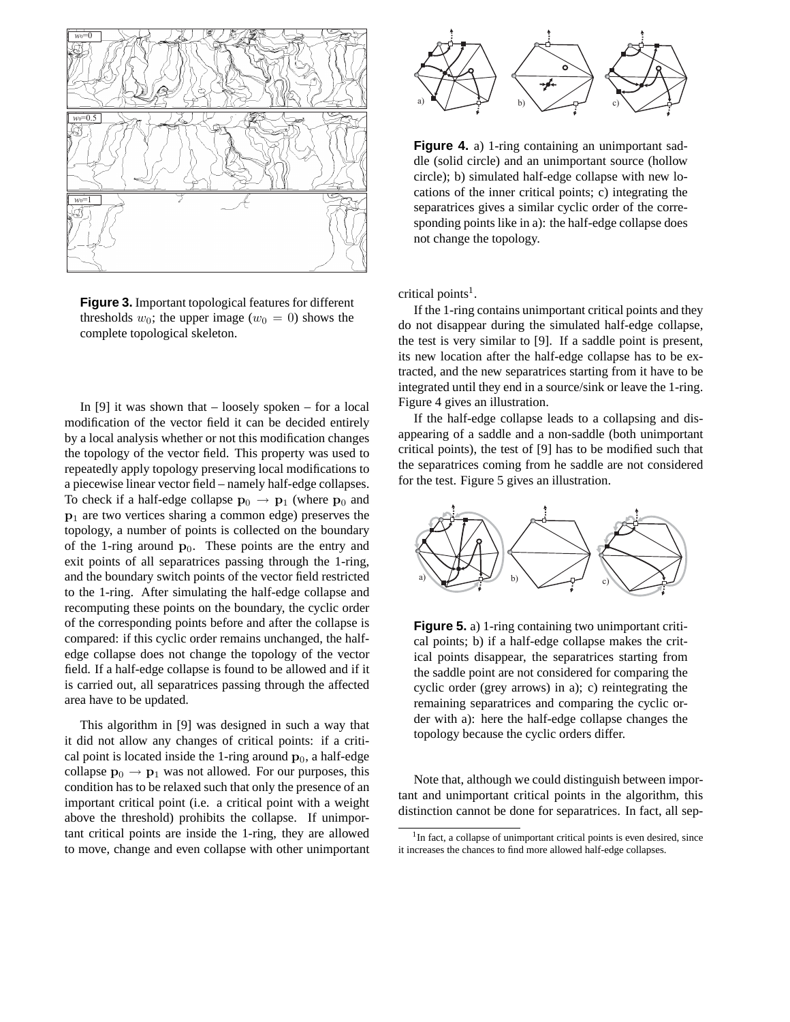

**Figure 3.** Important topological features for different thresholds  $w_0$ ; the upper image  $(w_0 = 0)$  shows the complete topological skeleton.

In [9] it was shown that  $-$  loosely spoken  $-$  for a local modification of the vector field it can be decided entirely by a local analysis whether or not this modification changes the topology of the vector field. This property was used to repeatedly apply topology preserving local modifications to a piecewise linear vector field – namely half-edge collapses. To check if a half-edge collapse  $\mathbf{p}_0 \rightarrow \mathbf{p}_1$  (where  $\mathbf{p}_0$  and **p**<sup>1</sup> are two vertices sharing a common edge) preserves the topology, a number of points is collected on the boundary of the 1-ring around  $\mathbf{p}_0$ . These points are the entry and exit points of all separatrices passing through the 1-ring, and the boundary switch points of the vector field restricted to the 1-ring. After simulating the half-edge collapse and recomputing these points on the boundary, the cyclic order of the corresponding points before and after the collapse is compared: if this cyclic order remains unchanged, the halfedge collapse does not change the topology of the vector field. If a half-edge collapse is found to be allowed and if it is carried out, all separatrices passing through the affected area have to be updated.

This algorithm in [9] was designed in such a way that it did not allow any changes of critical points: if a critical point is located inside the 1-ring around  $\mathbf{p}_0$ , a half-edge collapse  $\mathbf{p}_0 \rightarrow \mathbf{p}_1$  was not allowed. For our purposes, this condition has to be relaxed such that only the presence of an important critical point (i.e. a critical point with a weight above the threshold) prohibits the collapse. If unimportant critical points are inside the 1-ring, they are allowed to move, change and even collapse with other unimportant



**Figure 4.** a) 1-ring containing an unimportant saddle (solid circle) and an unimportant source (hollow circle); b) simulated half-edge collapse with new locations of the inner critical points; c) integrating the separatrices gives a similar cyclic order of the corresponding points like in a): the half-edge collapse does not change the topology.

critical points<sup>1</sup>.

If the 1-ring contains unimportant critical points and they do not disappear during the simulated half-edge collapse, the test is very similar to [9]. If a saddle point is present, its new location after the half-edge collapse has to be extracted, and the new separatrices starting from it have to be integrated until they end in a source/sink or leave the 1-ring. Figure 4 gives an illustration.

If the half-edge collapse leads to a collapsing and disappearing of a saddle and a non-saddle (both unimportant critical points), the test of [9] has to be modified such that the separatrices coming from he saddle are not considered for the test. Figure 5 gives an illustration.



**Figure 5.** a) 1-ring containing two unimportant critical points; b) if a half-edge collapse makes the critical points disappear, the separatrices starting from the saddle point are not considered for comparing the cyclic order (grey arrows) in a); c) reintegrating the remaining separatrices and comparing the cyclic order with a): here the half-edge collapse changes the topology because the cyclic orders differ.

Note that, although we could distinguish between important and unimportant critical points in the algorithm, this distinction cannot be done for separatrices. In fact, all sep-

 $<sup>1</sup>$ In fact, a collapse of unimportant critical points is even desired, since</sup> it increases the chances to find more allowed half-edge collapses.